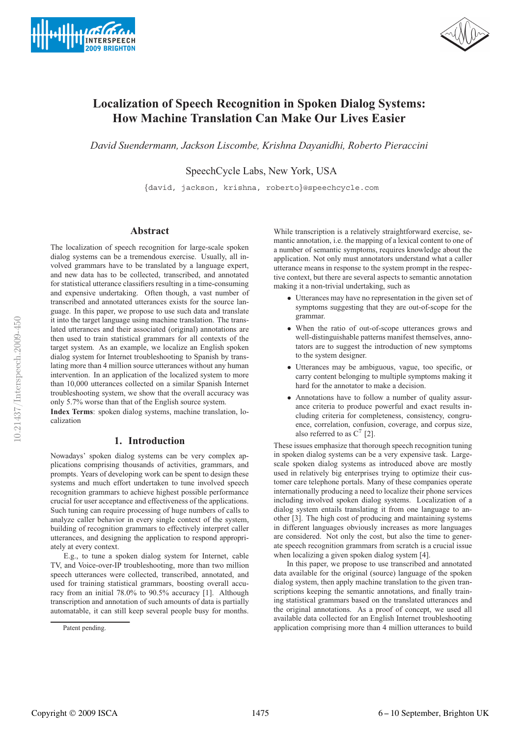



# **Localization of Speech Recognition in Spoken Dialog Systems: How Machine Translation Can Make Our Lives Easier .**

*David Suendermann, Jackson Liscombe, Krishna Dayanidhi, Roberto Pieraccini*

SpeechCycle Labs, New York, USA

. {david, jackson, krishna, roberto}@speechcycle.com

#### **Abstract**

The localization of speech recognition for large-scale spoken dialog systems can be a tremendous exercise. Usually, all involved grammars have to be translated by a language expert, and new data has to be collected, transcribed, and annotated for statistical utterance classifiers resulting in a time-consuming and expensive undertaking. Often though, a vast number of transcribed and annotated utterances exists for the source language. In this paper, we propose to use such data and translate it into the target language using machine translation. The translated utterances and their associated (original) annotations are then used to train statistical grammars for all contexts of the target system. As an example, we localize an English spoken dialog system for Internet troubleshooting to Spanish by translating more than 4 million source utterances without any human intervention. In an application of the localized system to more than 10,000 utterances collected on a similar Spanish Internet troubleshooting system, we show that the overall accuracy was only 5.7% worse than that of the English source system.

**Index Terms**: spoken dialog systems, machine translation, localization

# **1. Introduction**

Nowadays' spoken dialog systems can be very complex applications comprising thousands of activities, grammars, and prompts. Years of developing work can be spent to design these systems and much effort undertaken to tune involved speech recognition grammars to achieve highest possible performance crucial for user acceptance and effectiveness of the applications. Such tuning can require processing of huge numbers of calls to analyze caller behavior in every single context of the system, building of recognition grammars to effectively interpret caller utterances, and designing the application to respond appropriately at every context.

E.g., to tune a spoken dialog system for Internet, cable TV, and Voice-over-IP troubleshooting, more than two million speech utterances were collected, transcribed, annotated, and used for training statistical grammars, boosting overall accuracy from an initial 78.0% to 90.5% accuracy [1]. Although transcription and annotation of such amounts of data is partially automatable, it can still keep several people busy for months.

While transcription is a relatively straightforward exercise, semantic annotation, i.e. the mapping of a lexical content to one of a number of semantic symptoms, requires knowledge about the application. Not only must annotators understand what a caller utterance means in response to the system prompt in the respective context, but there are several aspects to semantic annotation making it a non-trivial undertaking, such as

- Utterances may have no representation in the given set of symptoms suggesting that they are out-of-scope for the grammar.
- When the ratio of out-of-scope utterances grows and well-distinguishable patterns manifest themselves, annotators are to suggest the introduction of new symptoms to the system designer.
- Utterances may be ambiguous, vague, too specific, or carry content belonging to multiple symptoms making it hard for the annotator to make a decision.
- Annotations have to follow a number of quality assurance criteria to produce powerful and exact results including criteria for completeness, consistency, congruence, correlation, confusion, coverage, and corpus size, also referred to as  $C^7$  [2].

These issues emphasize that thorough speech recognition tuning in spoken dialog systems can be a very expensive task. Largescale spoken dialog systems as introduced above are mostly used in relatively big enterprises trying to optimize their customer care telephone portals. Many of these companies operate internationally producing a need to localize their phone services including involved spoken dialog systems. Localization of a dialog system entails translating it from one language to another [3]. The high cost of producing and maintaining systems in different languages obviously increases as more languages are considered. Not only the cost, but also the time to generate speech recognition grammars from scratch is a crucial issue when localizing a given spoken dialog system [4].

In this paper, we propose to use transcribed and annotated data available for the original (source) language of the spoken dialog system, then apply machine translation to the given transcriptions keeping the semantic annotations, and finally training statistical grammars based on the translated utterances and the original annotations. As a proof of concept, we used all available data collected for an English Internet troubleshooting application comprising more than 4 million utterances to build

Patent pending.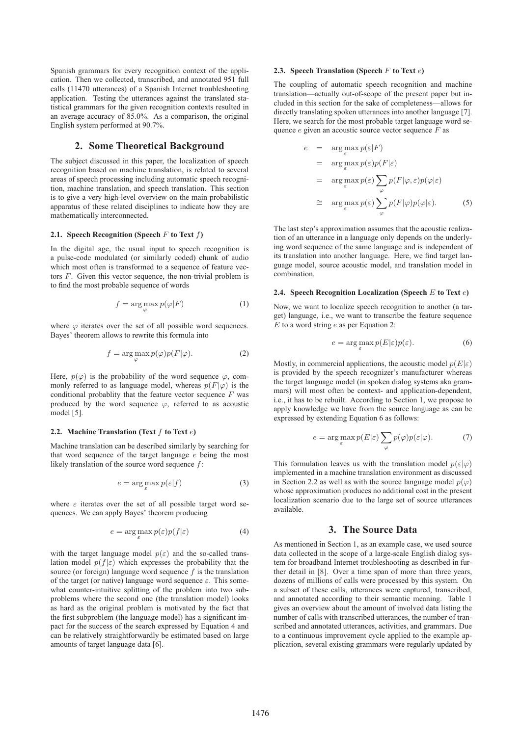Spanish grammars for every recognition context of the application. Then we collected, transcribed, and annotated 951 full calls (11470 utterances) of a Spanish Internet troubleshooting application. Testing the utterances against the translated statistical grammars for the given recognition contexts resulted in an average accuracy of 85.0%. As a comparison, the original English system performed at 90.7%.

### **2. Some Theoretical Background**

The subject discussed in this paper, the localization of speech recognition based on machine translation, is related to several areas of speech processing including automatic speech recognition, machine translation, and speech translation. This section is to give a very high-level overview on the main probabilistic apparatus of these related disciplines to indicate how they are mathematically interconnected.

#### **2.1.** Speech Recognition (Speech  $F$  to Text  $f$ )

In the digital age, the usual input to speech recognition is a pulse-code modulated (or similarly coded) chunk of audio which most often is transformed to a sequence of feature vectors  $F$ . Given this vector sequence, the non-trivial problem is to find the most probable sequence of words

$$
f = \arg\max_{\varphi} p(\varphi|F) \tag{1}
$$

where  $\varphi$  iterates over the set of all possible word sequences. Bayes' theorem allows to rewrite this formula into

$$
f = \arg\max_{\varphi} p(\varphi)p(F|\varphi).
$$
 (2)

Here,  $p(\varphi)$  is the probability of the word sequence  $\varphi$ , commonly referred to as language model, whereas  $p(F|\varphi)$  is the conditional probablity that the feature vector sequence  $F$  was produced by the word sequence  $\varphi$ , referred to as acoustic model [5].

#### **2.2. Machine Translation (Text** f **to Text** e**)**

Machine translation can be described similarly by searching for that word sequence of the target language  $e$  being the most likely translation of the source word sequence  $f$ :

$$
e = \arg\max_{\varepsilon} p(\varepsilon|f) \tag{3}
$$

where  $\varepsilon$  iterates over the set of all possible target word sequences. We can apply Bayes' theorem producing

$$
e = \arg\max_{\varepsilon} p(\varepsilon)p(f|\varepsilon)
$$
 (4)

with the target language model  $p(\varepsilon)$  and the so-called translation model  $p(f|\varepsilon)$  which expresses the probability that the source (or foreign) language word sequence  $f$  is the translation of the target (or native) language word sequence  $\varepsilon$ . This somewhat counter-intuitive splitting of the problem into two subproblems where the second one (the translation model) looks as hard as the original problem is motivated by the fact that the first subproblem (the language model) has a significant impact for the success of the search expressed by Equation 4 and can be relatively straightforwardly be estimated based on large amounts of target language data [6].

#### **2.3. Speech Translation (Speech** F **to Text** e**)**

The coupling of automatic speech recognition and machine translation—actually out-of-scope of the present paper but included in this section for the sake of completeness—allows for directly translating spoken utterances into another language [7]. Here, we search for the most probable target language word sequence  $e$  given an acoustic source vector sequence  $F$  as

$$
e = \arg \max_{\varepsilon} p(\varepsilon | F)
$$
  
= 
$$
\arg \max_{\varepsilon} p(\varepsilon) p(F|\varepsilon)
$$
  
= 
$$
\arg \max_{\varepsilon} p(\varepsilon) \sum_{\varphi} p(F|\varphi, \varepsilon) p(\varphi|\varepsilon)
$$
  

$$
\cong \arg \max_{\varepsilon} p(\varepsilon) \sum_{\varphi} p(F|\varphi) p(\varphi|\varepsilon).
$$
 (5)

The last step's approximation assumes that the acoustic realization of an utterance in a language only depends on the underlying word sequence of the same language and is independent of its translation into another language. Here, we find target language model, source acoustic model, and translation model in combination.

#### **2.4. Speech Recognition Localization (Speech** E **to Text** e**)**

Now, we want to localize speech recognition to another (a target) language, i.e., we want to transcribe the feature sequence  $E$  to a word string  $e$  as per Equation 2:

$$
e = \arg\max_{\varepsilon} p(E|\varepsilon)p(\varepsilon). \tag{6}
$$

Mostly, in commercial applications, the acoustic model  $p(E|\varepsilon)$ is provided by the speech recognizer's manufacturer whereas the target language model (in spoken dialog systems aka grammars) will most often be context- and application-dependent, i.e., it has to be rebuilt. According to Section 1, we propose to apply knowledge we have from the source language as can be expressed by extending Equation 6 as follows:

$$
e = \arg \max_{\varepsilon} p(E|\varepsilon) \sum_{\varphi} p(\varphi) p(\varepsilon|\varphi). \tag{7}
$$

This formulation leaves us with the translation model  $p(\varepsilon|\varphi)$ implemented in a machine translation environment as discussed in Section 2.2 as well as with the source language model  $p(\varphi)$ whose approximation produces no additional cost in the present localization scenario due to the large set of source utterances available.

#### **3. The Source Data**

As mentioned in Section 1, as an example case, we used source data collected in the scope of a large-scale English dialog system for broadband Internet troubleshooting as described in further detail in [8]. Over a time span of more than three years, dozens of millions of calls were processed by this system. On a subset of these calls, utterances were captured, transcribed, and annotated according to their semantic meaning. Table 1 gives an overview about the amount of involved data listing the number of calls with transcribed utterances, the number of transcribed and annotated utterances, activities, and grammars. Due to a continuous improvement cycle applied to the example application, several existing grammars were regularly updated by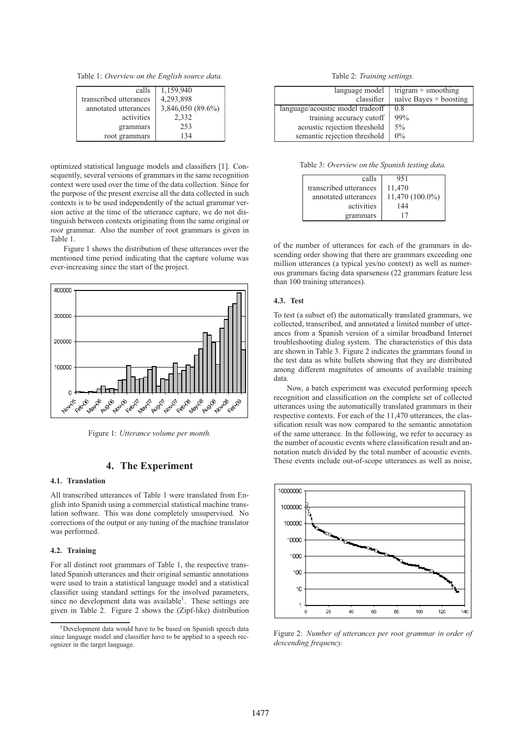Table 1: *Overview on the English source data.*

| calls                  | 1,159,940         |
|------------------------|-------------------|
| transcribed utterances | 4,293,898         |
| annotated utterances   | 3,846,050 (89.6%) |
| activities             | 2,332             |
| grammars               | 253               |
| root grammars          | 134               |

optimized statistical language models and classifiers [1]. Consequently, several versions of grammars in the same recognition context were used over the time of the data collection. Since for the purpose of the present exercise all the data collected in such contexts is to be used independently of the actual grammar version active at the time of the utterance capture, we do not distinguish between contexts originating from the same original or *root* grammar. Also the number of root grammars is given in Table 1.

Figure 1 shows the distribution of these utterances over the mentioned time period indicating that the capture volume was ever-increasing since the start of the project.



Figure 1: *Utterance volume per month.*

# **4. The Experiment**

#### **4.1. Translation**

All transcribed utterances of Table 1 were translated from English into Spanish using a commercial statistical machine translation software. This was done completely unsupervised. No corrections of the output or any tuning of the machine translator was performed.

#### **4.2. Training**

For all distinct root grammars of Table 1, the respective translated Spanish utterances and their original semantic annotations were used to train a statistical language model and a statistical classifier using standard settings for the involved parameters, since no development data was available<sup>1</sup>. These settings are given in Table 2. Figure 2 shows the (Zipf-like) distribution

Table 2: *Training settings.*

| language model                   | trigram $+$ smoothing    |
|----------------------------------|--------------------------|
| classifier                       | naïve Bayes $+$ boosting |
| language/acoustic model tradeoff | 0.8                      |
| training accuracy cutoff         | 99%                      |
| acoustic rejection threshold     | $5\%$                    |
| semantic rejection threshold     | $0\%$                    |

Table 3: *Overview on the Spanish testing data.*

| calls                  | 951               |
|------------------------|-------------------|
| transcribed utterances | 11,470            |
| annotated utterances   | $11,470(100.0\%)$ |
| activities             | 144               |
| grammars               |                   |

of the number of utterances for each of the grammars in descending order showing that there are grammars exceeding one million utterances (a typical yes/no context) as well as numerous grammars facing data sparseness (22 grammars feature less than 100 training utterances).

#### **4.3. Test**

To test (a subset of) the automatically translated grammars, we collected, transcribed, and annotated a limited number of utterances from a Spanish version of a similar broadband Internet troubleshooting dialog system. The characteristics of this data are shown in Table 3. Figure 2 indicates the grammars found in the test data as white bullets showing that they are distributed among different magnitutes of amounts of available training data.

Now, a batch experiment was executed performing speech recognition and classification on the complete set of collected utterances using the automatically translated grammars in their respective contexts. For each of the 11,470 utterances, the classification result was now compared to the semantic annotation of the same utterance. In the following, we refer to accuracy as the number of acoustic events where classification result and annotation match divided by the total number of acoustic events. These events include out-of-scope utterances as well as noise,



Figure 2: *Number of utterances per root grammar in order of descending frequency.*

<sup>&</sup>lt;sup>1</sup>Development data would have to be based on Spanish speech data since language model and classifier have to be applied to a speech recognizer in the target language.